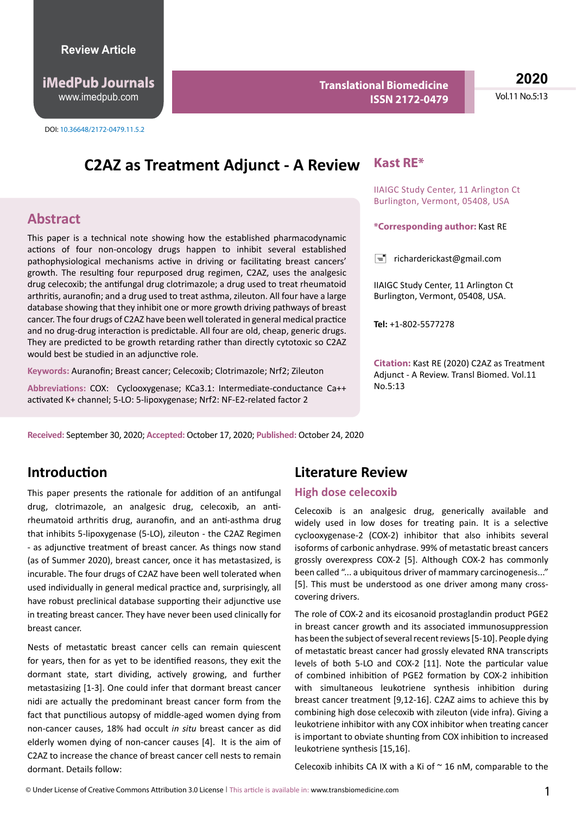http://www.imedpub.com www.imedpub.com **iMedPub Journals**

**Translational Biomedicine ISSN 2172-0479**

**2020** Vol.11 No.5:13

# **C2AZ as Treatment Adjunct - A Review**

## **Abstract**

This paper is a technical note showing how the established pharmacodynamic actions of four non-oncology drugs happen to inhibit several established pathophysiological mechanisms active in driving or facilitating breast cancers' growth. The resulting four repurposed drug regimen, C2AZ, uses the analgesic drug celecoxib; the antifungal drug clotrimazole; a drug used to treat rheumatoid arthritis, auranofin; and a drug used to treat asthma, zileuton. All four have a large database showing that they inhibit one or more growth driving pathways of breast cancer. The four drugs of C2AZ have been well tolerated in general medical practice and no drug-drug interaction is predictable. All four are old, cheap, generic drugs. They are predicted to be growth retarding rather than directly cytotoxic so C2AZ would best be studied in an adjunctive role.

**Keywords:** Auranofin; Breast cancer; Celecoxib; Clotrimazole; Nrf2; Zileuton

**Abbreviations:** COX: Cyclooxygenase; KCa3.1: Intermediate-conductance Ca++ activated K+ channel; 5-LO: 5-lipoxygenase; Nrf2: NF-E2-related factor 2

**Received:** September 30, 2020; **Accepted:** October 17, 2020; **Published:** October 24, 2020

### **Kast RE\***

IIAIGC Study Center, 11 Arlington Ct Burlington, Vermont, 05408, USA

**\*Corresponding author:** Kast RE

 $\equiv$  [richarderickast@gmail.com](mailto:richarderickast@gmail.com)

IIAIGC Study Center, 11 Arlington Ct Burlington, Vermont, 05408, USA.

**Tel:** +1-802-5577278

**Citation:** Kast RE (2020) C2AZ as Treatment Adjunct - A Review. Transl Biomed. Vol.11 No.5:13

## **Introduction**

This paper presents the rationale for addition of an antifungal drug, clotrimazole, an analgesic drug, celecoxib, an antirheumatoid arthritis drug, auranofin, and an anti-asthma drug that inhibits 5-lipoxygenase (5-LO), zileuton - the C2AZ Regimen - as adjunctive treatment of breast cancer. As things now stand (as of Summer 2020), breast cancer, once it has metastasized, is incurable. The four drugs of C2AZ have been well tolerated when used individually in general medical practice and, surprisingly, all have robust preclinical database supporting their adjunctive use in treating breast cancer. They have never been used clinically for breast cancer.

Nests of metastatic breast cancer cells can remain quiescent for years, then for as yet to be identified reasons, they exit the dormant state, start dividing, actively growing, and further metastasizing [1-3]. One could infer that dormant breast cancer nidi are actually the predominant breast cancer form from the fact that punctilious autopsy of middle-aged women dying from non-cancer causes, 18% had occult *in situ* breast cancer as did elderly women dying of non-cancer causes [4]. It is the aim of C2AZ to increase the chance of breast cancer cell nests to remain dormant. Details follow:

### **Literature Review**

#### **High dose celecoxib**

Celecoxib is an analgesic drug, generically available and widely used in low doses for treating pain. It is a selective cyclooxygenase-2 (COX-2) inhibitor that also inhibits several isoforms of carbonic anhydrase. 99% of metastatic breast cancers grossly overexpress COX-2 [5]. Although COX-2 has commonly been called "... a ubiquitous driver of mammary carcinogenesis..." [5]. This must be understood as one driver among many crosscovering drivers.

The role of COX-2 and its eicosanoid prostaglandin product PGE2 in breast cancer growth and its associated immunosuppression has been the subject of several recent reviews [5-10]. People dying of metastatic breast cancer had grossly elevated RNA transcripts levels of both 5-LO and COX-2 [11]. Note the particular value of combined inhibition of PGE2 formation by COX-2 inhibition with simultaneous leukotriene synthesis inhibition during breast cancer treatment [9,12-16]. C2AZ aims to achieve this by combining high dose celecoxib with zileuton (vide infra). Giving a leukotriene inhibitor with any COX inhibitor when treating cancer is important to obviate shunting from COX inhibition to increased leukotriene synthesis [15,16].

Celecoxib inhibits CA IX with a Ki of  $\sim$  16 nM, comparable to the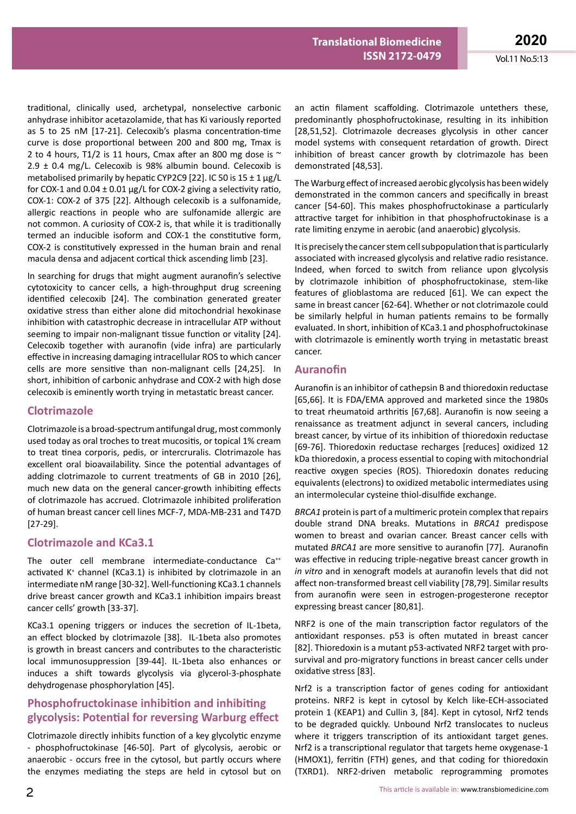traditional, clinically used, archetypal, nonselective carbonic anhydrase inhibitor acetazolamide, that has Ki variously reported as 5 to 25 nM [17-21]. Celecoxib's plasma concentration-time curve is dose proportional between 200 and 800 mg, Tmax is 2 to 4 hours, T1/2 is 11 hours, Cmax after an 800 mg dose is  $\sim$  $2.9 \pm 0.4$  mg/L. Celecoxib is 98% albumin bound. Celecoxib is metabolised primarily by hepatic CYP2C9 [22]. IC 50 is 15 ± 1 μg/L for COX-1 and  $0.04 \pm 0.01$  µg/L for COX-2 giving a selectivity ratio, COX-1: COX-2 of 375 [22]. Although celecoxib is a sulfonamide, allergic reactions in people who are sulfonamide allergic are not common. A curiosity of COX-2 is, that while it is traditionally termed an inducible isoform and COX-1 the constitutive form, COX-2 is constitutively expressed in the human brain and renal macula densa and adjacent cortical thick ascending limb [23].

In searching for drugs that might augment auranofin's selective cytotoxicity to cancer cells, a high-throughput drug screening identified celecoxib [24]. The combination generated greater oxidative stress than either alone did mitochondrial hexokinase inhibition with catastrophic decrease in intracellular ATP without seeming to impair non-malignant tissue function or vitality [24]. Celecoxib together with auranofin (vide infra) are particularly effective in increasing damaging intracellular ROS to which cancer cells are more sensitive than non-malignant cells [24,25]. In short, inhibition of carbonic anhydrase and COX-2 with high dose celecoxib is eminently worth trying in metastatic breast cancer.

#### **Clotrimazole**

Clotrimazole is a broad-spectrum antifungal drug, most commonly used today as oral troches to treat mucositis, or topical 1% cream to treat tinea corporis, pedis, or intercruralis. Clotrimazole has excellent oral bioavailability. Since the potential advantages of adding clotrimazole to current treatments of GB in 2010 [26], much new data on the general cancer-growth inhibiting effects of clotrimazole has accrued. Clotrimazole inhibited proliferation of human breast cancer cell lines MCF-7, MDA-MB-231 and T47D [27-29].

### **Clotrimazole and KCa3.1**

The outer cell membrane intermediate-conductance Ca<sup>++</sup> activated K<sup>+</sup> channel (KCa3.1) is inhibited by clotrimazole in an intermediate nM range [30-32]. Well-functioning KCa3.1 channels drive breast cancer growth and KCa3.1 inhibition impairs breast cancer cells' growth [33-37].

KCa3.1 opening triggers or induces the secretion of IL-1beta, an effect blocked by clotrimazole [38]. IL-1beta also promotes is growth in breast cancers and contributes to the characteristic local immunosuppression [39-44]. IL-1beta also enhances or induces a shift towards glycolysis via glycerol-3-phosphate dehydrogenase phosphorylation [45].

### **Phosphofructokinase inhibition and inhibiting glycolysis: Potential for reversing Warburg effect**

Clotrimazole directly inhibits function of a key glycolytic enzyme - phosphofructokinase [46-50]. Part of glycolysis, aerobic or anaerobic - occurs free in the cytosol, but partly occurs where the enzymes mediating the steps are held in cytosol but on

an actin filament scaffolding. Clotrimazole untethers these, predominantly phosphofructokinase, resulting in its inhibition [28,51,52]. Clotrimazole decreases glycolysis in other cancer model systems with consequent retardation of growth. Direct inhibition of breast cancer growth by clotrimazole has been demonstrated [48,53].

The Warburg effect of increased aerobic glycolysis has been widely demonstrated in the common cancers and specifically in breast cancer [54-60]. This makes phosphofructokinase a particularly attractive target for inhibition in that phosphofructokinase is a rate limiting enzyme in aerobic (and anaerobic) glycolysis.

It is precisely the cancer stem cell subpopulation that is particularly associated with increased glycolysis and relative radio resistance. Indeed, when forced to switch from reliance upon glycolysis by clotrimazole inhibition of phosphofructokinase, stem-like features of glioblastoma are reduced [61]. We can expect the same in breast cancer [62-64]. Whether or not clotrimazole could be similarly helpful in human patients remains to be formally evaluated. In short, inhibition of KCa3.1 and phosphofructokinase with clotrimazole is eminently worth trying in metastatic breast cancer.

### **Auranofin**

Auranofin is an inhibitor of cathepsin B and thioredoxin reductase [65,66]. It is FDA/EMA approved and marketed since the 1980s to treat rheumatoid arthritis [67,68]. Auranofin is now seeing a renaissance as treatment adjunct in several cancers, including breast cancer, by virtue of its inhibition of thioredoxin reductase [69-76]. Thioredoxin reductase recharges [reduces] oxidized 12 kDa thioredoxin, a process essential to coping with mitochondrial reactive oxygen species (ROS). Thioredoxin donates reducing equivalents (electrons) to oxidized metabolic intermediates using an intermolecular cysteine thiol-disulfide exchange.

*BRCA1* protein is part of a multimeric protein complex that repairs double strand DNA breaks. Mutations in *BRCA1* predispose women to breast and ovarian cancer. Breast cancer cells with mutated *BRCA1* are more sensitive to auranofin [77]. Auranofin was effective in reducing triple-negative breast cancer growth in *in vitro* and in xenograft models at auranofin levels that did not affect non-transformed breast cell viability [78,79]. Similar results from auranofin were seen in estrogen-progesterone receptor expressing breast cancer [80,81].

NRF2 is one of the main transcription factor regulators of the antioxidant responses. p53 is often mutated in breast cancer [82]. Thioredoxin is a mutant p53-activated NRF2 target with prosurvival and pro-migratory functions in breast cancer cells under oxidative stress [83].

Nrf2 is a transcription factor of genes coding for antioxidant proteins. NRF2 is kept in cytosol by Kelch like-ECH-associated protein 1 (KEAP1) and Cullin 3, [84]. Kept in cytosol, Nrf2 tends to be degraded quickly. Unbound Nrf2 translocates to nucleus where it triggers transcription of its antioxidant target genes. Nrf2 is a transcriptional regulator that targets heme oxygenase-1 (HMOX1), ferritin (FTH) genes, and that coding for thioredoxin (TXRD1). NRF2-driven metabolic reprogramming promotes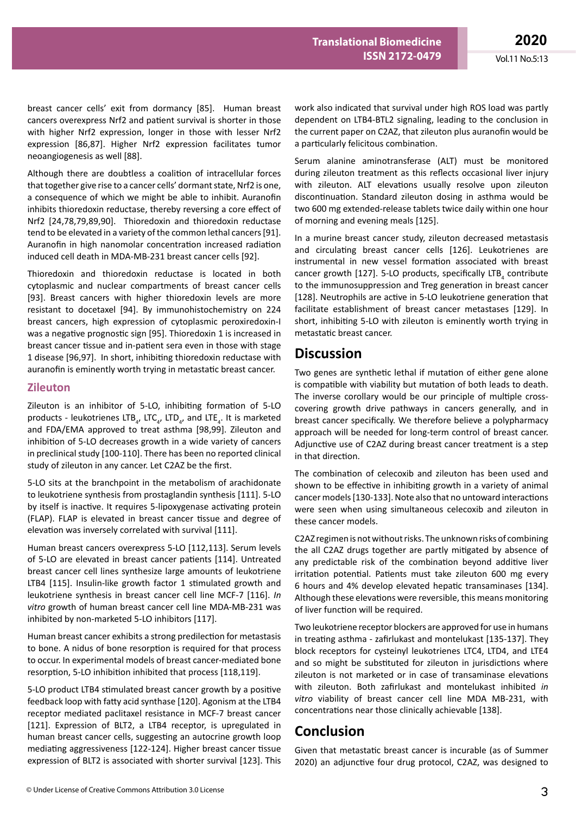breast cancer cells' exit from dormancy [85]. Human breast cancers overexpress Nrf2 and patient survival is shorter in those with higher Nrf2 expression, longer in those with lesser Nrf2 expression [86,87]. Higher Nrf2 expression facilitates tumor neoangiogenesis as well [88].

Although there are doubtless a coalition of intracellular forces that together give rise to a cancer cells' dormant state, Nrf2 is one, a consequence of which we might be able to inhibit. Auranofin inhibits thioredoxin reductase, thereby reversing a core effect of Nrf2 [24,78,79,89,90]. Thioredoxin and thioredoxin reductase tend to be elevated in a variety of the common lethal cancers [91]. Auranofin in high nanomolar concentration increased radiation induced cell death in MDA-MB-231 breast cancer cells [92].

Thioredoxin and thioredoxin reductase is located in both cytoplasmic and nuclear compartments of breast cancer cells [93]. Breast cancers with higher thioredoxin levels are more resistant to docetaxel [94]. By immunohistochemistry on 224 breast cancers, high expression of cytoplasmic peroxiredoxin-I was a negative prognostic sign [95]. Thioredoxin 1 is increased in breast cancer tissue and in-patient sera even in those with stage 1 disease [96,97]. In short, inhibiting thioredoxin reductase with auranofin is eminently worth trying in metastatic breast cancer.

#### **Zileuton**

Zileuton is an inhibitor of 5-LO, inhibiting formation of 5-LO products - leukotrienes LTB<sub>4</sub>, LTC<sub>4</sub>, LTD<sub>4</sub>, and LTE<sub>4</sub>. It is marketed and FDA/EMA approved to treat asthma [98,99]. Zileuton and inhibition of 5-LO decreases growth in a wide variety of cancers in preclinical study [100-110]. There has been no reported clinical study of zileuton in any cancer. Let C2AZ be the first.

5-LO sits at the branchpoint in the metabolism of arachidonate to leukotriene synthesis from prostaglandin synthesis [111]. 5-LO by itself is inactive. It requires 5-lipoxygenase activating protein (FLAP). FLAP is elevated in breast cancer tissue and degree of elevation was inversely correlated with survival [111].

Human breast cancers overexpress 5-LO [112,113]. Serum levels of 5-LO are elevated in breast cancer patients [114]. Untreated breast cancer cell lines synthesize large amounts of leukotriene LTB4 [115]. Insulin-like growth factor 1 stimulated growth and leukotriene synthesis in breast cancer cell line MCF-7 [116]. *In vitro* growth of human breast cancer cell line MDA-MB-231 was inhibited by non-marketed 5-LO inhibitors [117].

Human breast cancer exhibits a strong predilection for metastasis to bone. A nidus of bone resorption is required for that process to occur. In experimental models of breast cancer-mediated bone resorption, 5-LO inhibition inhibited that process [118,119].

5-LO product LTB4 stimulated breast cancer growth by a positive feedback loop with fatty acid synthase [120]. Agonism at the LTB4 receptor mediated paclitaxel resistance in MCF-7 breast cancer [121]. Expression of BLT2, a LTB4 receptor, is upregulated in human breast cancer cells, suggesting an autocrine growth loop mediating aggressiveness [122-124]. Higher breast cancer tissue expression of BLT2 is associated with shorter survival [123]. This

work also indicated that survival under high ROS load was partly dependent on LTB4-BTL2 signaling, leading to the conclusion in the current paper on C2AZ, that zileuton plus auranofin would be a particularly felicitous combination.

Serum alanine aminotransferase (ALT) must be monitored during zileuton treatment as this reflects occasional liver injury with zileuton. ALT elevations usually resolve upon zileuton discontinuation. Standard zileuton dosing in asthma would be two 600 mg extended-release tablets twice daily within one hour of morning and evening meals [125].

In a murine breast cancer study, zileuton decreased metastasis and circulating breast cancer cells [126]. Leukotrienes are instrumental in new vessel formation associated with breast cancer growth [127]. 5-LO products, specifically  $LTB<sub>4</sub>$  contribute to the immunosuppression and Treg generation in breast cancer [128]. Neutrophils are active in 5-LO leukotriene generation that facilitate establishment of breast cancer metastases [129]. In short, inhibiting 5-LO with zileuton is eminently worth trying in metastatic breast cancer.

## **Discussion**

Two genes are synthetic lethal if mutation of either gene alone is compatible with viability but mutation of both leads to death. The inverse corollary would be our principle of multiple crosscovering growth drive pathways in cancers generally, and in breast cancer specifically. We therefore believe a polypharmacy approach will be needed for long-term control of breast cancer. Adjunctive use of C2AZ during breast cancer treatment is a step in that direction.

The combination of celecoxib and zileuton has been used and shown to be effective in inhibiting growth in a variety of animal cancer models [130-133]. Note also that no untoward interactions were seen when using simultaneous celecoxib and zileuton in these cancer models.

C2AZ regimen is not without risks. The unknown risks of combining the all C2AZ drugs together are partly mitigated by absence of any predictable risk of the combination beyond additive liver irritation potential. Patients must take zileuton 600 mg every 6 hours and 4% develop elevated hepatic transaminases [134]. Although these elevations were reversible, this means monitoring of liver function will be required.

Two leukotriene receptor blockers are approved for use in humans in treating asthma - zafirlukast and montelukast [135-137]. They block receptors for cysteinyl leukotrienes LTC4, LTD4, and LTE4 and so might be substituted for zileuton in jurisdictions where zileuton is not marketed or in case of transaminase elevations with zileuton. Both zafirlukast and montelukast inhibited *in vitro* viability of breast cancer cell line MDA MB-231, with concentrations near those clinically achievable [138].

# **Conclusion**

Given that metastatic breast cancer is incurable (as of Summer 2020) an adjunctive four drug protocol, C2AZ, was designed to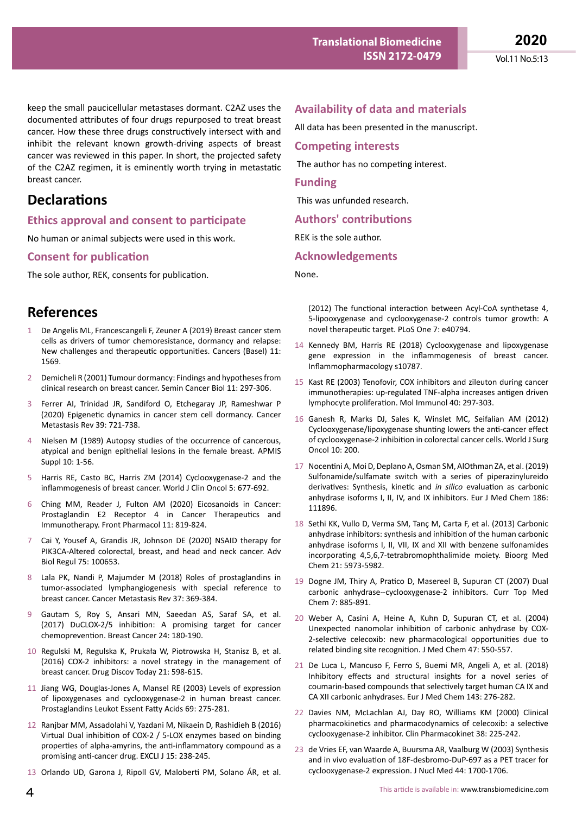keep the small paucicellular metastases dormant. C2AZ uses the documented attributes of four drugs repurposed to treat breast cancer. How these three drugs constructively intersect with and inhibit the relevant known growth-driving aspects of breast cancer was reviewed in this paper. In short, the projected safety of the C2AZ regimen, it is eminently worth trying in metastatic breast cancer.

# **Declarations**

### **Ethics approval and consent to participate**

No human or animal subjects were used in this work.

### **Consent for publication**

The sole author, REK, consents for publication.

## **References**

- 1 De Angelis ML, Francescangeli F, Zeuner A (2019) Breast cancer stem cells as drivers of tumor chemoresistance, dormancy and relapse: New challenges and therapeutic opportunities. Cancers (Basel) 11: 1569.
- 2 Demicheli R (2001) Tumour dormancy: Findings and hypotheses from clinical research on breast cancer. Semin Cancer Biol 11: 297-306.
- 3 Ferrer AI, Trinidad JR, Sandiford O, Etchegaray JP, Rameshwar P (2020) Epigenetic dynamics in cancer stem cell dormancy. Cancer Metastasis Rev 39: 721-738.
- 4 Nielsen M (1989) Autopsy studies of the occurrence of cancerous, atypical and benign epithelial lesions in the female breast. APMIS Suppl 10: 1-56.
- 5 Harris RE, Casto BC, Harris ZM (2014) Cyclooxygenase-2 and the inflammogenesis of breast cancer. World J Clin Oncol 5: 677-692.
- 6 Ching MM, Reader J, Fulton AM (2020) Eicosanoids in Cancer: Prostaglandin E2 Receptor 4 in Cancer Therapeutics and Immunotherapy. Front Pharmacol 11: 819-824.
- 7 Cai Y, Yousef A, Grandis JR, Johnson DE (2020) NSAID therapy for PIK3CA-Altered colorectal, breast, and head and neck cancer. Adv Biol Regul 75: 100653.
- 8 Lala PK, Nandi P, Majumder M (2018) Roles of prostaglandins in tumor-associated lymphangiogenesis with special reference to breast cancer. Cancer Metastasis Rev 37: 369-384.
- 9 Gautam S, Roy S, Ansari MN, Saeedan AS, Saraf SA, et al. (2017) DuCLOX-2/5 inhibition: A promising target for cancer chemoprevention. Breast Cancer 24: 180-190.
- 10 Regulski M, Regulska K, Prukała W, Piotrowska H, Stanisz B, et al. (2016) COX-2 inhibitors: a novel strategy in the management of breast cancer. Drug Discov Today 21: 598-615.
- 11 Jiang WG, Douglas-Jones A, Mansel RE (2003) Levels of expression of lipoxygenases and cyclooxygenase-2 in human breast cancer. Prostaglandins Leukot Essent Fatty Acids 69: 275-281.
- 12 Ranjbar MM, Assadolahi V, Yazdani M, Nikaein D, Rashidieh B (2016) Virtual Dual inhibition of COX-2 / 5-LOX enzymes based on binding properties of alpha-amyrins, the anti-inflammatory compound as a promising anti-cancer drug. EXCLI J 15: 238-245.
- 13 Orlando UD, Garona J, Ripoll GV, Maloberti PM, Solano ÁR, et al.

## **Availability of data and materials**

All data has been presented in the manuscript.

### **Competing interests**

The author has no competing interest.

### **Funding**

This was unfunded research.

### **Authors' contributions**

REK is the sole author.

### **Acknowledgements**

None.

(2012) The functional interaction between Acyl-CoA synthetase 4, 5-lipooxygenase and cyclooxygenase-2 controls tumor growth: A novel therapeutic target. PLoS One 7: e40794.

- 14 Kennedy BM, Harris RE (2018) Cyclooxygenase and lipoxygenase gene expression in the inflammogenesis of breast cancer. Inflammopharmacology s10787.
- 15 Kast RE (2003) Tenofovir, COX inhibitors and zileuton during cancer immunotherapies: up-regulated TNF-alpha increases antigen driven lymphocyte proliferation. Mol Immunol 40: 297-303.
- 16 Ganesh R, Marks DJ, Sales K, Winslet MC, Seifalian AM (2012) Cyclooxygenase/lipoxygenase shunting lowers the anti-cancer effect of cyclooxygenase-2 inhibition in colorectal cancer cells. World J Surg Oncol 10: 200.
- 17 Nocentini A, Moi D, Deplano A, Osman SM, AlOthman ZA, et al. (2019) Sulfonamide/sulfamate switch with a series of piperazinylureido derivatives: Synthesis, kinetic and *in silico* evaluation as carbonic anhydrase isoforms I, II, IV, and IX inhibitors. Eur J Med Chem 186: 111896.
- 18 Sethi KK, Vullo D, Verma SM, Tanç M, Carta F, et al. (2013) Carbonic anhydrase inhibitors: synthesis and inhibition of the human carbonic anhydrase isoforms I, II, VII, IX and XII with benzene sulfonamides incorporating 4,5,6,7-tetrabromophthalimide moiety. Bioorg Med Chem 21: 5973-5982.
- 19 Dogne JM, Thiry A, Pratico D, Masereel B, Supuran CT (2007) Dual carbonic anhydrase--cyclooxygenase-2 inhibitors. Curr Top Med Chem 7: 885-891.
- 20 Weber A, Casini A, Heine A, Kuhn D, Supuran CT, et al. (2004) Unexpected nanomolar inhibition of carbonic anhydrase by COX-2-selective celecoxib: new pharmacological opportunities due to related binding site recognition. J Med Chem 47: 550-557.
- 21 De Luca L, Mancuso F, Ferro S, Buemi MR, Angeli A, et al. (2018) Inhibitory effects and structural insights for a novel series of coumarin-based compounds that selectively target human CA IX and CA XII carbonic anhydrases. Eur J Med Chem 143: 276-282.
- 22 Davies NM, McLachlan AJ, Day RO, Williams KM (2000) Clinical pharmacokinetics and pharmacodynamics of celecoxib: a selective cyclooxygenase-2 inhibitor. Clin Pharmacokinet 38: 225-242.
- 23 de Vries EF, van Waarde A, Buursma AR, Vaalburg W (2003) Synthesis and in vivo evaluation of 18F-desbromo-DuP-697 as a PET tracer for cyclooxygenase-2 expression. J Nucl Med 44: 1700-1706.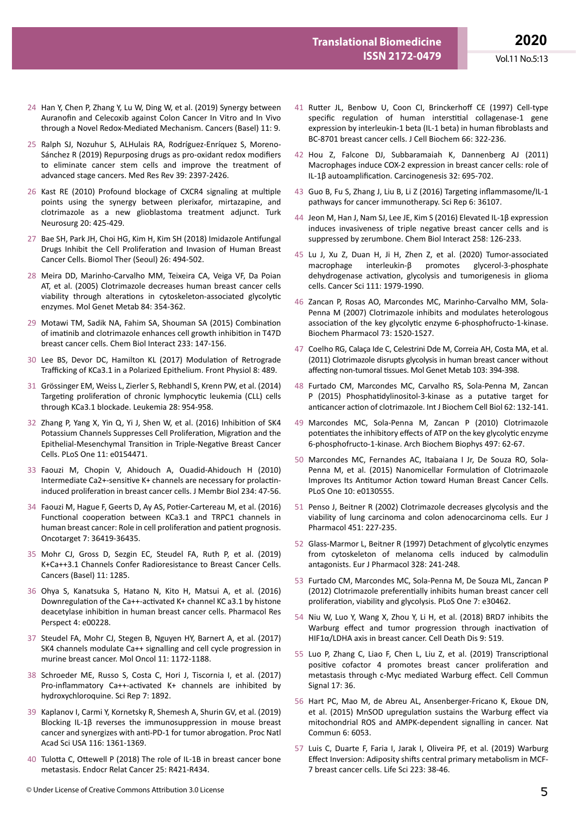- 24 Han Y, Chen P, Zhang Y, Lu W, Ding W, et al. (2019) Synergy between Auranofin and Celecoxib against Colon Cancer In Vitro and In Vivo through a Novel Redox-Mediated Mechanism. Cancers (Basel) 11: 9.
- 25 Ralph SJ, Nozuhur S, ALHulais RA, Rodríguez-Enríquez S, Moreno-Sánchez R (2019) Repurposing drugs as pro-oxidant redox modifiers to eliminate cancer stem cells and improve the treatment of advanced stage cancers. Med Res Rev 39: 2397-2426.
- 26 Kast RE (2010) Profound blockage of CXCR4 signaling at multiple points using the synergy between plerixafor, mirtazapine, and clotrimazole as a new glioblastoma treatment adjunct. Turk Neurosurg 20: 425-429.
- 27 Bae SH, Park JH, Choi HG, Kim H, Kim SH (2018) Imidazole Antifungal Drugs Inhibit the Cell Proliferation and Invasion of Human Breast Cancer Cells. Biomol Ther (Seoul) 26: 494-502.
- 28 Meira DD, Marinho-Carvalho MM, Teixeira CA, Veiga VF, Da Poian AT, et al. (2005) Clotrimazole decreases human breast cancer cells viability through alterations in cytoskeleton-associated glycolytic enzymes. Mol Genet Metab 84: 354-362.
- 29 Motawi TM, Sadik NA, Fahim SA, Shouman SA (2015) Combination of imatinib and clotrimazole enhances cell growth inhibition in T47D breast cancer cells. Chem Biol Interact 233: 147-156.
- 30 Lee BS, Devor DC, Hamilton KL (2017) Modulation of Retrograde Trafficking of KCa3.1 in a Polarized Epithelium. Front Physiol 8: 489.
- 31 Grössinger EM, Weiss L, Zierler S, Rebhandl S, Krenn PW, et al. (2014) Targeting proliferation of chronic lymphocytic leukemia (CLL) cells through KCa3.1 blockade. Leukemia 28: 954-958.
- 32 Zhang P, Yang X, Yin Q, Yi J, Shen W, et al. (2016) Inhibition of SK4 Potassium Channels Suppresses Cell Proliferation, Migration and the Epithelial-Mesenchymal Transition in Triple-Negative Breast Cancer Cells. PLoS One 11: e0154471.
- 33 Faouzi M, Chopin V, Ahidouch A, Ouadid-Ahidouch H (2010) Intermediate Ca2+-sensitive K+ channels are necessary for prolactininduced proliferation in breast cancer cells. J Membr Biol 234: 47-56.
- 34 Faouzi M, Hague F, Geerts D, Ay AS, Potier-Cartereau M, et al. (2016) Functional cooperation between KCa3.1 and TRPC1 channels in human breast cancer: Role in cell proliferation and patient prognosis. Oncotarget 7: 36419-36435.
- 35 Mohr CJ, Gross D, Sezgin EC, Steudel FA, Ruth P, et al. (2019) K+Ca++3.1 Channels Confer Radioresistance to Breast Cancer Cells. Cancers (Basel) 11: 1285.
- 36 Ohya S, Kanatsuka S, Hatano N, Kito H, Matsui A, et al. (2016) Downregulation of the Ca++-activated K+ channel KC a3.1 by histone deacetylase inhibition in human breast cancer cells. Pharmacol Res Perspect 4: e00228.
- 37 Steudel FA, Mohr CJ, Stegen B, Nguyen HY, Barnert A, et al. (2017) SK4 channels modulate Ca++ signalling and cell cycle progression in murine breast cancer. Mol Oncol 11: 1172-1188.
- 38 Schroeder ME, Russo S, Costa C, Hori J, Tiscornia I, et al. (2017) Pro-inflammatory Ca++-activated K+ channels are inhibited by hydroxychloroquine. Sci Rep 7: 1892.
- 39 Kaplanov I, Carmi Y, Kornetsky R, Shemesh A, Shurin GV, et al. (2019) Blocking IL-1β reverses the immunosuppression in mouse breast cancer and synergizes with anti-PD-1 for tumor abrogation. Proc Natl Acad Sci USA 116: 1361-1369.
- 40 Tulotta C, Ottewell P (2018) The role of IL-1B in breast cancer bone metastasis. Endocr Relat Cancer 25: R421-R434.
- 41 Rutter JL, Benbow U, Coon CI, Brinckerhoff CE (1997) Cell-type specific regulation of human interstitial collagenase-1 gene expression by interleukin-1 beta (IL-1 beta) in human fibroblasts and BC-8701 breast cancer cells. J Cell Biochem 66: 322-236.
- 42 Hou Z, Falcone DJ, Subbaramaiah K, Dannenberg AJ (2011) Macrophages induce COX-2 expression in breast cancer cells: role of IL-1β autoamplification. Carcinogenesis 32: 695-702.
- 43 Guo B, Fu S, Zhang J, Liu B, Li Z (2016) Targeting inflammasome/IL-1 pathways for cancer immunotherapy. Sci Rep 6: 36107.
- 44 Jeon M, Han J, Nam SJ, Lee JE, Kim S (2016) Elevated IL-1β expression induces invasiveness of triple negative breast cancer cells and is suppressed by zerumbone. Chem Biol Interact 258: 126-233.
- 45 Lu J, Xu Z, Duan H, Ji H, Zhen Z, et al. (2020) Tumor-associated macrophage interleukin-β promotes glycerol-3-phosphate dehydrogenase activation, glycolysis and tumorigenesis in glioma cells. Cancer Sci 111: 1979-1990.
- 46 Zancan P, Rosas AO, Marcondes MC, Marinho-Carvalho MM, Sola-Penna M (2007) Clotrimazole inhibits and modulates heterologous association of the key glycolytic enzyme 6-phosphofructo-1-kinase. Biochem Pharmacol 73: 1520-1527.
- 47 Coelho RG, Calaça Ide C, Celestrini Dde M, Correia AH, Costa MA, et al. (2011) Clotrimazole disrupts glycolysis in human breast cancer without affecting non-tumoral tissues. Mol Genet Metab 103: 394-398.
- 48 Furtado CM, Marcondes MC, Carvalho RS, Sola-Penna M, Zancan P (2015) Phosphatidylinositol-3-kinase as a putative target for anticancer action of clotrimazole. Int J Biochem Cell Biol 62: 132-141.
- 49 Marcondes MC, Sola-Penna M, Zancan P (2010) Clotrimazole potentiates the inhibitory effects of ATP on the key glycolytic enzyme 6-phosphofructo-1-kinase. Arch Biochem Biophys 497: 62-67.
- 50 Marcondes MC, Fernandes AC, Itabaiana I Jr, De Souza RO, Sola-Penna M, et al. (2015) Nanomicellar Formulation of Clotrimazole Improves Its Antitumor Action toward Human Breast Cancer Cells. PLoS One 10: e0130555.
- 51 Penso J, Beitner R (2002) Clotrimazole decreases glycolysis and the viability of lung carcinoma and colon adenocarcinoma cells. Eur J Pharmacol 451: 227-235.
- 52 Glass-Marmor L, Beitner R (1997) Detachment of glycolytic enzymes from cytoskeleton of melanoma cells induced by calmodulin antagonists. Eur J Pharmacol 328: 241-248.
- 53 Furtado CM, Marcondes MC, Sola-Penna M, De Souza ML, Zancan P (2012) Clotrimazole preferentially inhibits human breast cancer cell proliferation, viability and glycolysis. PLoS One 7: e30462.
- 54 Niu W, Luo Y, Wang X, Zhou Y, Li H, et al. (2018) BRD7 inhibits the Warburg effect and tumor progression through inactivation of HIF1α/LDHA axis in breast cancer. Cell Death Dis 9: 519.
- 55 Luo P, Zhang C, Liao F, Chen L, Liu Z, et al. (2019) Transcriptional positive cofactor 4 promotes breast cancer proliferation and metastasis through c-Myc mediated Warburg effect. Cell Commun Signal 17: 36.
- 56 Hart PC, Mao M, de Abreu AL, Ansenberger-Fricano K, Ekoue DN, et al. (2015) MnSOD upregulation sustains the Warburg effect via mitochondrial ROS and AMPK-dependent signalling in cancer. Nat Commun 6: 6053.
- 57 Luis C, Duarte F, Faria I, Jarak I, Oliveira PF, et al. (2019) Warburg Effect Inversion: Adiposity shifts central primary metabolism in MCF-7 breast cancer cells. Life Sci 223: 38-46.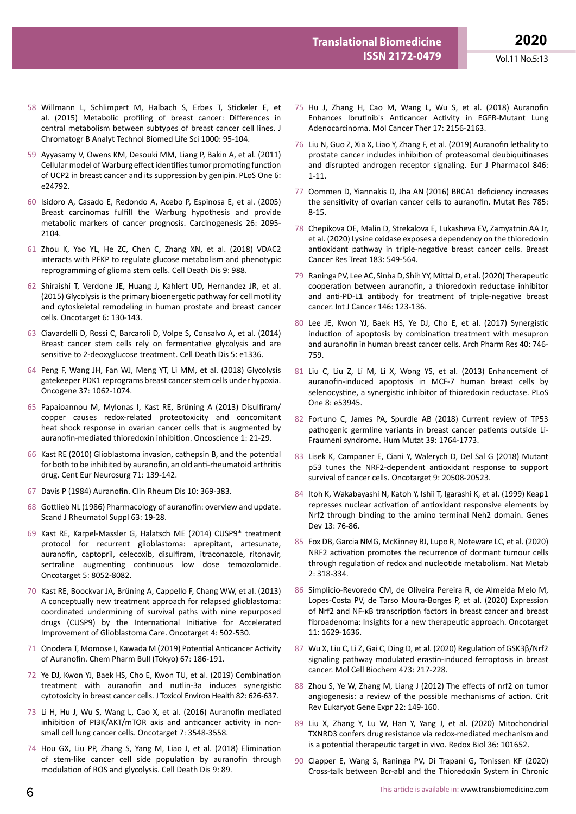- 58 Willmann L, Schlimpert M, Halbach S, Erbes T, Stickeler E, et al. (2015) Metabolic profiling of breast cancer: Differences in central metabolism between subtypes of breast cancer cell lines. J Chromatogr B Analyt Technol Biomed Life Sci 1000: 95-104.
- 59 Ayyasamy V, Owens KM, Desouki MM, Liang P, Bakin A, et al. (2011) Cellular model of Warburg effect identifies tumor promoting function of UCP2 in breast cancer and its suppression by genipin. PLoS One 6: e24792.
- 60 Isidoro A, Casado E, Redondo A, Acebo P, Espinosa E, et al. (2005) Breast carcinomas fulfill the Warburg hypothesis and provide metabolic markers of cancer prognosis. Carcinogenesis 26: 2095- 2104.
- 61 Zhou K, Yao YL, He ZC, Chen C, Zhang XN, et al. (2018) VDAC2 interacts with PFKP to regulate glucose metabolism and phenotypic reprogramming of glioma stem cells. Cell Death Dis 9: 988.
- 62 Shiraishi T, Verdone JE, Huang J, Kahlert UD, Hernandez JR, et al. (2015) Glycolysis is the primary bioenergetic pathway for cell motility and cytoskeletal remodeling in human prostate and breast cancer cells. Oncotarget 6: 130-143.
- 63 Ciavardelli D, Rossi C, Barcaroli D, Volpe S, Consalvo A, et al. (2014) Breast cancer stem cells rely on fermentative glycolysis and are sensitive to 2-deoxyglucose treatment. Cell Death Dis 5: e1336.
- 64 Peng F, Wang JH, Fan WJ, Meng YT, Li MM, et al. (2018) Glycolysis gatekeeper PDK1 reprograms breast cancer stem cells under hypoxia. Oncogene 37: 1062-1074.
- 65 Papaioannou M, Mylonas I, Kast RE, Brüning A (2013) Disulfiram/ copper causes redox-related proteotoxicity and concomitant heat shock response in ovarian cancer cells that is augmented by auranofin-mediated thioredoxin inhibition. Oncoscience 1: 21-29.
- 66 Kast RE (2010) Glioblastoma invasion, cathepsin B, and the potential for both to be inhibited by auranofin, an old anti-rheumatoid arthritis drug. Cent Eur Neurosurg 71: 139-142.
- 67 Davis P (1984) Auranofin. Clin Rheum Dis 10: 369-383.
- 68 Gottlieb NL (1986) Pharmacology of auranofin: overview and update. Scand J Rheumatol Suppl 63: 19-28.
- 69 Kast RE, Karpel-Massler G, Halatsch ME (2014) CUSP9\* treatment protocol for recurrent glioblastoma: aprepitant, artesunate, auranofin, captopril, celecoxib, disulfiram, itraconazole, ritonavir, sertraline augmenting continuous low dose temozolomide. Oncotarget 5: 8052-8082.
- 70 Kast RE, Boockvar JA, Brüning A, Cappello F, Chang WW, et al. (2013) A conceptually new treatment approach for relapsed glioblastoma: coordinated undermining of survival paths with nine repurposed drugs (CUSP9) by the International Initiative for Accelerated Improvement of Glioblastoma Care. Oncotarget 4: 502-530.
- 71 Onodera T, Momose I, Kawada M (2019) Potential Anticancer Activity of Auranofin. Chem Pharm Bull (Tokyo) 67: 186-191.
- 72 Ye DJ, Kwon YJ, Baek HS, Cho E, Kwon TU, et al. (2019) Combination treatment with auranofin and nutlin-3a induces synergistic cytotoxicity in breast cancer cells. J Toxicol Environ Health 82: 626-637.
- 73 Li H, Hu J, Wu S, Wang L, Cao X, et al. (2016) Auranofin mediated inhibition of PI3K/AKT/mTOR axis and anticancer activity in nonsmall cell lung cancer cells. Oncotarget 7: 3548-3558.
- 74 Hou GX, Liu PP, Zhang S, Yang M, Liao J, et al. (2018) Elimination of stem-like cancer cell side population by auranofin through modulation of ROS and glycolysis. Cell Death Dis 9: 89.
- 75 Hu J, Zhang H, Cao M, Wang L, Wu S, et al. (2018) Auranofin Enhances Ibrutinib's Anticancer Activity in EGFR-Mutant Lung Adenocarcinoma. Mol Cancer Ther 17: 2156-2163.
- 76 Liu N, Guo Z, Xia X, Liao Y, Zhang F, et al. (2019) Auranofin lethality to prostate cancer includes inhibition of proteasomal deubiquitinases and disrupted androgen receptor signaling. Eur J Pharmacol 846: 1-11.
- 77 Oommen D, Yiannakis D, Jha AN (2016) BRCA1 deficiency increases the sensitivity of ovarian cancer cells to auranofin. Mutat Res 785: 8-15.
- 78 Chepikova OE, Malin D, Strekalova E, Lukasheva EV, Zamyatnin AA Jr, et al. (2020) Lysine oxidase exposes a dependency on the thioredoxin antioxidant pathway in triple-negative breast cancer cells. Breast Cancer Res Treat 183: 549-564.
- 79 Raninga PV, Lee AC, Sinha D, Shih YY, Mittal D, et al. (2020) Therapeutic cooperation between auranofin, a thioredoxin reductase inhibitor and anti-PD-L1 antibody for treatment of triple-negative breast cancer. Int J Cancer 146: 123-136.
- 80 Lee JE, Kwon YJ, Baek HS, Ye DJ, Cho E, et al. (2017) Synergistic induction of apoptosis by combination treatment with mesupron and auranofin in human breast cancer cells. Arch Pharm Res 40: 746- 759.
- 81 Liu C, Liu Z, Li M, Li X, Wong YS, et al. (2013) Enhancement of auranofin-induced apoptosis in MCF-7 human breast cells by selenocystine, a synergistic inhibitor of thioredoxin reductase. PLoS One 8: e53945.
- 82 Fortuno C, James PA, Spurdle AB (2018) Current review of TP53 pathogenic germline variants in breast cancer patients outside Li-Fraumeni syndrome. Hum Mutat 39: 1764-1773.
- 83 Lisek K, Campaner E, Ciani Y, Walerych D, Del Sal G (2018) Mutant p53 tunes the NRF2-dependent antioxidant response to support survival of cancer cells. Oncotarget 9: 20508-20523.
- 84 Itoh K, Wakabayashi N, Katoh Y, Ishii T, Igarashi K, et al. (1999) Keap1 represses nuclear activation of antioxidant responsive elements by Nrf2 through binding to the amino terminal Neh2 domain. Genes Dev 13: 76-86.
- 85 Fox DB, Garcia NMG, McKinney BJ, Lupo R, Noteware LC, et al. (2020) NRF2 activation promotes the recurrence of dormant tumour cells through regulation of redox and nucleotide metabolism. Nat Metab 2: 318-334.
- 86 Simplicio-Revoredo CM, de Oliveira Pereira R, de Almeida Melo M, Lopes-Costa PV, de Tarso Moura-Borges P, et al. (2020) Expression of Nrf2 and NF-κB transcription factors in breast cancer and breast fibroadenoma: Insights for a new therapeutic approach. Oncotarget 11: 1629-1636.
- 87 Wu X, Liu C, Li Z, Gai C, Ding D, et al. (2020) Regulation of GSK3β/Nrf2 signaling pathway modulated erastin-induced ferroptosis in breast cancer. Mol Cell Biochem 473: 217-228.
- 88 Zhou S, Ye W, Zhang M, Liang J (2012) The effects of nrf2 on tumor angiogenesis: a review of the possible mechanisms of action. Crit Rev Eukaryot Gene Expr 22: 149-160.
- 89 Liu X, Zhang Y, Lu W, Han Y, Yang J, et al. (2020) Mitochondrial TXNRD3 confers drug resistance via redox-mediated mechanism and is a potential therapeutic target in vivo. Redox Biol 36: 101652.
- 90 Clapper E, Wang S, Raninga PV, Di Trapani G, Tonissen KF (2020) Cross-talk between Bcr-abl and the Thioredoxin System in Chronic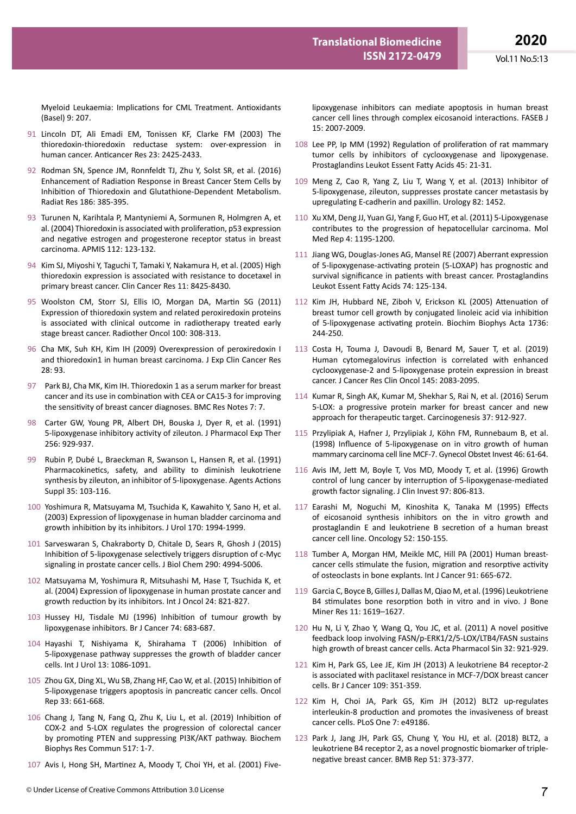Myeloid Leukaemia: Implications for CML Treatment. Antioxidants (Basel) 9: 207.

- 91 Lincoln DT, Ali Emadi EM, Tonissen KF, Clarke FM (2003) The thioredoxin-thioredoxin reductase system: over-expression in human cancer. Anticancer Res 23: 2425-2433.
- 92 Rodman SN, Spence JM, Ronnfeldt TJ, Zhu Y, Solst SR, et al. (2016) Enhancement of Radiation Response in Breast Cancer Stem Cells by Inhibition of Thioredoxin and Glutathione-Dependent Metabolism. Radiat Res 186: 385-395.
- 93 Turunen N, Karihtala P, Mantyniemi A, Sormunen R, Holmgren A, et al. (2004) Thioredoxin is associated with proliferation, p53 expression and negative estrogen and progesterone receptor status in breast carcinoma. APMIS 112: 123-132.
- 94 Kim SJ, Miyoshi Y, Taguchi T, Tamaki Y, Nakamura H, et al. (2005) High thioredoxin expression is associated with resistance to docetaxel in primary breast cancer. Clin Cancer Res 11: 8425-8430.
- 95 Woolston CM, Storr SJ, Ellis IO, Morgan DA, Martin SG (2011) Expression of thioredoxin system and related peroxiredoxin proteins is associated with clinical outcome in radiotherapy treated early stage breast cancer. Radiother Oncol 100: 308-313.
- 96 Cha MK, Suh KH, Kim IH (2009) Overexpression of peroxiredoxin I and thioredoxin1 in human breast carcinoma. J Exp Clin Cancer Res 28: 93.
- 97 Park BJ, Cha MK, Kim IH. Thioredoxin 1 as a serum marker for breast cancer and its use in combination with CEA or CA15-3 for improving the sensitivity of breast cancer diagnoses. BMC Res Notes 7: 7.
- 98 Carter GW, Young PR, Albert DH, Bouska J, Dyer R, et al. (1991) 5-lipoxygenase inhibitory activity of zileuton. J Pharmacol Exp Ther 256: 929-937.
- 99 Rubin P, Dubé L, Braeckman R, Swanson L, Hansen R, et al. (1991) Pharmacokinetics, safety, and ability to diminish leukotriene synthesis by zileuton, an inhibitor of 5-lipoxygenase. Agents Actions Suppl 35: 103-116.
- 100 Yoshimura R, Matsuyama M, Tsuchida K, Kawahito Y, Sano H, et al. (2003) Expression of lipoxygenase in human bladder carcinoma and growth inhibition by its inhibitors. J Urol 170: 1994-1999.
- 101 Sarveswaran S, Chakraborty D, Chitale D, Sears R, Ghosh J (2015) Inhibition of 5-lipoxygenase selectively triggers disruption of c-Myc signaling in prostate cancer cells. J Biol Chem 290: 4994-5006.
- 102 Matsuyama M, Yoshimura R, Mitsuhashi M, Hase T, Tsuchida K, et al. (2004) Expression of lipoxygenase in human prostate cancer and growth reduction by its inhibitors. Int J Oncol 24: 821-827.
- 103 Hussey HJ, Tisdale MJ (1996) Inhibition of tumour growth by lipoxygenase inhibitors. Br J Cancer 74: 683-687.
- 104 Hayashi T, Nishiyama K, Shirahama T (2006) Inhibition of 5-lipoxygenase pathway suppresses the growth of bladder cancer cells. Int J Urol 13: 1086-1091.
- 105 Zhou GX, Ding XL, Wu SB, Zhang HF, Cao W, et al. (2015) Inhibition of 5-lipoxygenase triggers apoptosis in pancreatic cancer cells. Oncol Rep 33: 661-668.
- 106 Chang J, Tang N, Fang Q, Zhu K, Liu L, et al. (2019) Inhibition of COX-2 and 5-LOX regulates the progression of colorectal cancer by promoting PTEN and suppressing PI3K/AKT pathway. Biochem Biophys Res Commun 517: 1-7.
- 107 Avis I, Hong SH, Martinez A, Moody T, Choi YH, et al. (2001) Five-

lipoxygenase inhibitors can mediate apoptosis in human breast cancer cell lines through complex eicosanoid interactions. FASEB J 15: 2007-2009.

- 108 Lee PP, Ip MM (1992) Regulation of proliferation of rat mammary tumor cells by inhibitors of cyclooxygenase and lipoxygenase. Prostaglandins Leukot Essent Fatty Acids 45: 21-31.
- 109 Meng Z, Cao R, Yang Z, Liu T, Wang Y, et al. (2013) Inhibitor of 5-lipoxygenase, zileuton, suppresses prostate cancer metastasis by upregulating E-cadherin and paxillin. Urology 82: 1452.
- 110 Xu XM, Deng JJ, Yuan GJ, Yang F, Guo HT, et al. (2011) 5-Lipoxygenase contributes to the progression of hepatocellular carcinoma. Mol Med Rep 4: 1195-1200.
- 111 Jiang WG, Douglas-Jones AG, Mansel RE (2007) Aberrant expression of 5-lipoxygenase-activating protein (5-LOXAP) has prognostic and survival significance in patients with breast cancer. Prostaglandins Leukot Essent Fatty Acids 74: 125-134.
- 112 Kim JH, Hubbard NE, Ziboh V, Erickson KL (2005) Attenuation of breast tumor cell growth by conjugated linoleic acid via inhibition of 5-lipoxygenase activating protein. Biochim Biophys Acta 1736: 244-250.
- 113 Costa H, Touma J, Davoudi B, Benard M, Sauer T, et al. (2019) Human cytomegalovirus infection is correlated with enhanced cyclooxygenase-2 and 5-lipoxygenase protein expression in breast cancer. J Cancer Res Clin Oncol 145: 2083-2095.
- 114 Kumar R, Singh AK, Kumar M, Shekhar S, Rai N, et al. (2016) Serum 5-LOX: a progressive protein marker for breast cancer and new approach for therapeutic target. Carcinogenesis 37: 912-927.
- 115 Przylipiak A, Hafner J, Przylipiak J, Köhn FM, Runnebaum B, et al. (1998) Influence of 5-lipoxygenase on in vitro growth of human mammary carcinoma cell line MCF-7. Gynecol Obstet Invest 46: 61-64.
- 116 Avis IM, Jett M, Boyle T, Vos MD, Moody T, et al. (1996) Growth control of lung cancer by interruption of 5-lipoxygenase-mediated growth factor signaling. J Clin Invest 97: 806-813.
- 117 Earashi M, Noguchi M, Kinoshita K, Tanaka M (1995) Effects of eicosanoid synthesis inhibitors on the in vitro growth and prostaglandin E and leukotriene B secretion of a human breast cancer cell line. Oncology 52: 150-155.
- 118 Tumber A, Morgan HM, Meikle MC, Hill PA (2001) Human breastcancer cells stimulate the fusion, migration and resorptive activity of osteoclasts in bone explants. Int J Cancer 91: 665-672.
- 119 Garcia C, Boyce B, Gilles J, Dallas M, Qiao M, et al. (1996) Leukotriene B4 stimulates bone resorption both in vitro and in vivo. J Bone Miner Res 11: 1619–1627.
- 120 Hu N, Li Y, Zhao Y, Wang Q, You JC, et al. (2011) A novel positive feedback loop involving FASN/p-ERK1/2/5-LOX/LTB4/FASN sustains high growth of breast cancer cells. Acta Pharmacol Sin 32: 921-929.
- 121 Kim H, Park GS, Lee JE, Kim JH (2013) A leukotriene B4 receptor-2 is associated with paclitaxel resistance in MCF-7/DOX breast cancer cells. Br J Cancer 109: 351-359.
- 122 Kim H, Choi JA, Park GS, Kim JH (2012) BLT2 up-regulates interleukin-8 production and promotes the invasiveness of breast cancer cells. PLoS One 7: e49186.
- 123 Park J, Jang JH, Park GS, Chung Y, You HJ, et al. (2018) BLT2, a leukotriene B4 receptor 2, as a novel prognostic biomarker of triplenegative breast cancer. BMB Rep 51: 373-377.